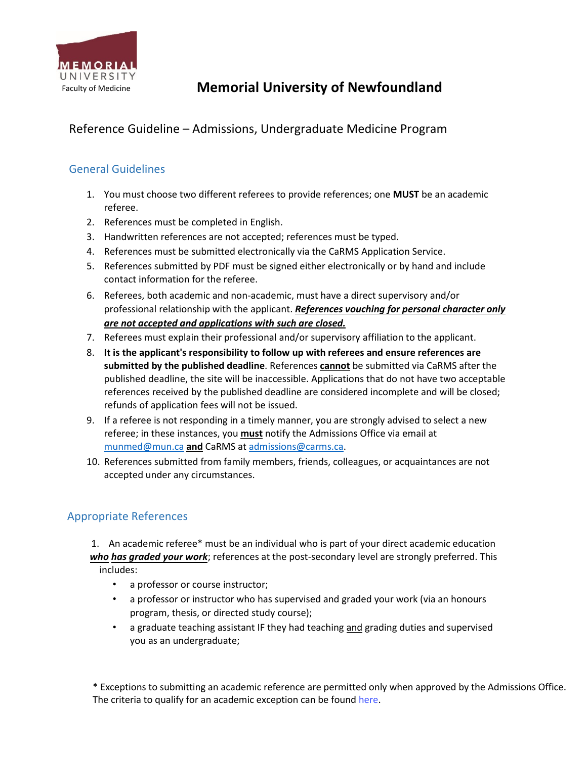

# **Memorial University of Newfoundland**

## Reference Guideline – Admissions, Undergraduate Medicine Program

### General Guidelines

- 1. You must choose two different referees to provide references; one **MUST** be an academic referee.
- 2. References must be completed in English.
- 3. Handwritten references are not accepted; references must be typed.
- 4. References must be submitted electronically via the CaRMS Application Service.
- 5. References submitted by PDF must be signed either electronically or by hand and include contact information for the referee.
- 6. Referees, both academic and non-academic, must have a direct supervisory and/or professional relationship with the applicant. *References vouching for personal character only are not accepted and applications with such are closed.*
- 7. Referees must explain their professional and/or supervisory affiliation to the applicant.
- 8. **It is the applicant's responsibility to follow up with referees and ensure references are submitted by the published deadline**. References **cannot** be submitted via CaRMS after the published deadline, the site will be inaccessible. Applications that do not have two acceptable references received by the published deadline are considered incomplete and will be closed; refunds of application fees will not be issued.
- 9. If a referee is not responding in a timely manner, you are strongly advised to select a new referee; in these instances, you **must** notify the Admissions Office via email at munmed@mun.ca **and** CaRMS at admissions@carms.ca.
- 10. References submitted from family members, friends, colleagues, or acquaintances are not accepted under any circumstances.

### Appropriate References

1. An academic referee\* must be an individual who is part of your direct academic education *who has graded your work*; references at the post-secondary level are strongly preferred. This includes:

- a professor or course instructor;
- a professor or instructor who has supervised and graded your work (via an honours program, thesis, or directed study course);
- a graduate teaching assistant IF they had teaching and grading duties and supervised you as an undergraduate;

\* Exceptions to submitting an academic reference are permitted only when approved by the Admissions Office. The criteria to qualify for an academic exception can be found [here.](https://www.med.mun.ca/getdoc/daffd17a-9c76-4d73-9721-5e902dce09db/Reference-Letters.aspx)